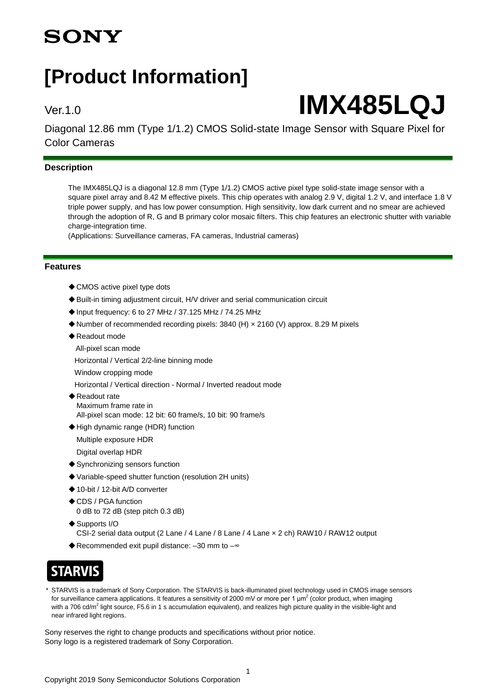## **SONY**

## **[Product Information]**

# Ver.1.0 **IMX485LQJ**

Diagonal 12.86 mm (Type 1/1.2) CMOS Solid-state Image Sensor with Square Pixel for Color Cameras

## **Description**

The IMX485LQJ is a diagonal 12.8 mm (Type 1/1.2) CMOS active pixel type solid-state image sensor with a square pixel array and 8.42 M effective pixels. This chip operates with analog 2.9 V, digital 1.2 V, and interface 1.8 V triple power supply, and has low power consumption. High sensitivity, low dark current and no smear are achieved through the adoption of R, G and B primary color mosaic filters. This chip features an electronic shutter with variable charge-integration time.

(Applications: Surveillance cameras, FA cameras, Industrial cameras)

#### **Features**

- ◆ CMOS active pixel type dots
- ◆ Built-in timing adjustment circuit, H/V driver and serial communication circuit
- ◆Input frequency: 6 to 27 MHz / 37.125 MHz / 74.25 MHz
- ◆Number of recommended recording pixels: 3840 (H) × 2160 (V) approx. 8.29 M pixels
- ◆ Readout mode
- All-pixel scan mode

Horizontal / Vertical 2/2-line binning mode

Window cropping mode

Horizontal / Vertical direction - Normal / Inverted readout mode

- ◆Readout rate Maximum frame rate in All-pixel scan mode: 12 bit: 60 frame/s, 10 bit: 90 frame/s
- ◆High dynamic range (HDR) function

Multiple exposure HDR

Digital overlap HDR

- ◆ Synchronizing sensors function
- ◆Variable-speed shutter function (resolution 2H units)
- ◆10-bit / 12-bit A/D converter
- ◆CDS / PGA function 0 dB to 72 dB (step pitch 0.3 dB)
- ◆ Supports I/O CSI-2 serial data output (2 Lane / 4 Lane / 8 Lane / 4 Lane × 2 ch) RAW10 / RAW12 output
- ◆ Recommended exit pupil distance: -30 mm to -~

## **STARVIS**

STARVIS is a trademark of Sony Corporation. The STARVIS is back-illuminated pixel technology used in CMOS image sensors for surveillance camera applications. It features a sensitivity of 2000 mV or more per 1  $\mu$ m<sup>2</sup> (color product, when imaging with a 706 cd/m<sup>2</sup> light source, F5.6 in 1 s accumulation equivalent), and realizes high picture quality in the visible-light and near infrared light regions.

Sony reserves the right to change products and specifications without prior notice. Sony logo is a registered trademark of Sony Corporation.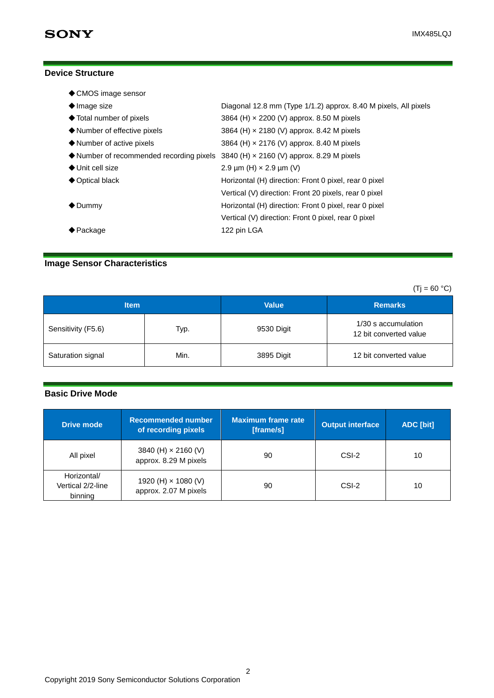## **Device Structure**

| ♦ CMOS image sensor                                                                                     |                                                                 |
|---------------------------------------------------------------------------------------------------------|-----------------------------------------------------------------|
| $\blacklozenge$ Image size                                                                              | Diagonal 12.8 mm (Type 1/1.2) approx. 8.40 M pixels, All pixels |
| ♦ Total number of pixels                                                                                | 3864 (H) x 2200 (V) approx. 8.50 M pixels                       |
| $\blacklozenge$ Number of effective pixels                                                              | 3864 (H) x 2180 (V) approx. 8.42 M pixels                       |
| $\blacklozenge$ Number of active pixels                                                                 | 3864 (H) x 2176 (V) approx. 8.40 M pixels                       |
| $\blacklozenge$ Number of recommended recording pixels 3840 (H) $\times$ 2160 (V) approx. 8.29 M pixels |                                                                 |
| $\blacklozenge$ Unit cell size                                                                          | 2.9 $\mu$ m (H) $\times$ 2.9 $\mu$ m (V)                        |
| ◆ Optical black                                                                                         | Horizontal (H) direction: Front 0 pixel, rear 0 pixel           |
|                                                                                                         | Vertical (V) direction: Front 20 pixels, rear 0 pixel           |
| $\bigcirc$ Dummy                                                                                        | Horizontal (H) direction: Front 0 pixel, rear 0 pixel           |
|                                                                                                         | Vertical (V) direction: Front 0 pixel, rear 0 pixel             |
| $\biglozenge$ Package                                                                                   | 122 pin LGA                                                     |
|                                                                                                         |                                                                 |

## **Image Sensor Characteristics**

| $(Tj = 60 °C)$     |      |              |                                               |
|--------------------|------|--------------|-----------------------------------------------|
| <b>Item</b>        |      | <b>Value</b> | <b>Remarks</b>                                |
| Sensitivity (F5.6) | Typ. | 9530 Digit   | 1/30 s accumulation<br>12 bit converted value |
| Saturation signal  | Min. | 3895 Digit   | 12 bit converted value                        |

#### **Basic Drive Mode**

| <b>Drive mode</b>                           | <b>Recommended number</b><br>of recording pixels    | Maximum frame rate<br>[frame/s] | <b>Output interface</b> | ADC [bit] |
|---------------------------------------------|-----------------------------------------------------|---------------------------------|-------------------------|-----------|
| All pixel                                   | 3840 (H) $\times$ 2160 (V)<br>approx. 8.29 M pixels | 90                              | CSI-2                   | 10        |
| Horizontal/<br>Vertical 2/2-line<br>binning | 1920 (H) × 1080 (V)<br>approx. 2.07 M pixels        | 90                              | CSI-2                   | 10        |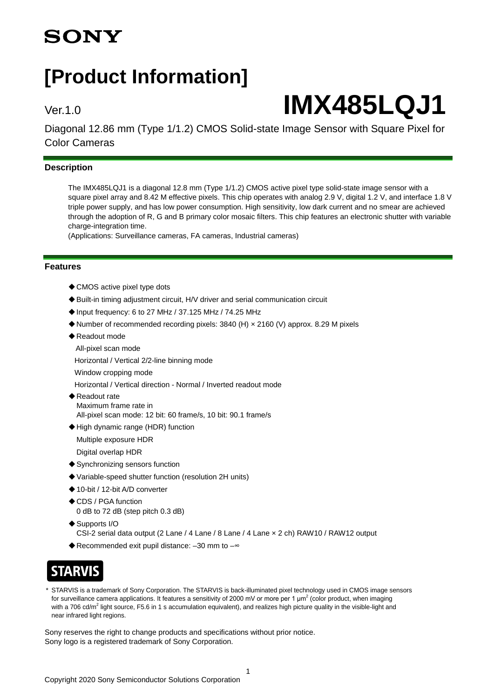## **SONY**

## **[Product Information]**

# Ver.1.0 **IMX485LQJ1**

Diagonal 12.86 mm (Type 1/1.2) CMOS Solid-state Image Sensor with Square Pixel for Color Cameras

## **Description**

The IMX485LQJ1 is a diagonal 12.8 mm (Type 1/1.2) CMOS active pixel type solid-state image sensor with a square pixel array and 8.42 M effective pixels. This chip operates with analog 2.9 V, digital 1.2 V, and interface 1.8 V triple power supply, and has low power consumption. High sensitivity, low dark current and no smear are achieved through the adoption of R, G and B primary color mosaic filters. This chip features an electronic shutter with variable charge-integration time.

(Applications: Surveillance cameras, FA cameras, Industrial cameras)

#### **Features**

- ◆ CMOS active pixel type dots
- ◆ Built-in timing adjustment circuit, H/V driver and serial communication circuit
- ◆Input frequency: 6 to 27 MHz / 37.125 MHz / 74.25 MHz
- ◆Number of recommended recording pixels: 3840 (H) × 2160 (V) approx. 8.29 M pixels
- ◆ Readout mode
- All-pixel scan mode

Horizontal / Vertical 2/2-line binning mode

Window cropping mode

Horizontal / Vertical direction - Normal / Inverted readout mode

- ◆Readout rate Maximum frame rate in All-pixel scan mode: 12 bit: 60 frame/s, 10 bit: 90.1 frame/s
- ◆High dynamic range (HDR) function
- Multiple exposure HDR

Digital overlap HDR

- ◆ Synchronizing sensors function
- ◆Variable-speed shutter function (resolution 2H units)
- ◆10-bit / 12-bit A/D converter
- ◆CDS / PGA function 0 dB to 72 dB (step pitch 0.3 dB)
- ◆ Supports I/O CSI-2 serial data output (2 Lane / 4 Lane / 8 Lane / 4 Lane × 2 ch) RAW10 / RAW12 output
- ◆ Recommended exit pupil distance: -30 mm to -~

## **STARVIS**

STARVIS is a trademark of Sony Corporation. The STARVIS is back-illuminated pixel technology used in CMOS image sensors for surveillance camera applications. It features a sensitivity of 2000 mV or more per 1  $\mu$ m<sup>2</sup> (color product, when imaging with a 706 cd/m<sup>2</sup> light source, F5.6 in 1 s accumulation equivalent), and realizes high picture quality in the visible-light and near infrared light regions.

Sony reserves the right to change products and specifications without prior notice. Sony logo is a registered trademark of Sony Corporation.